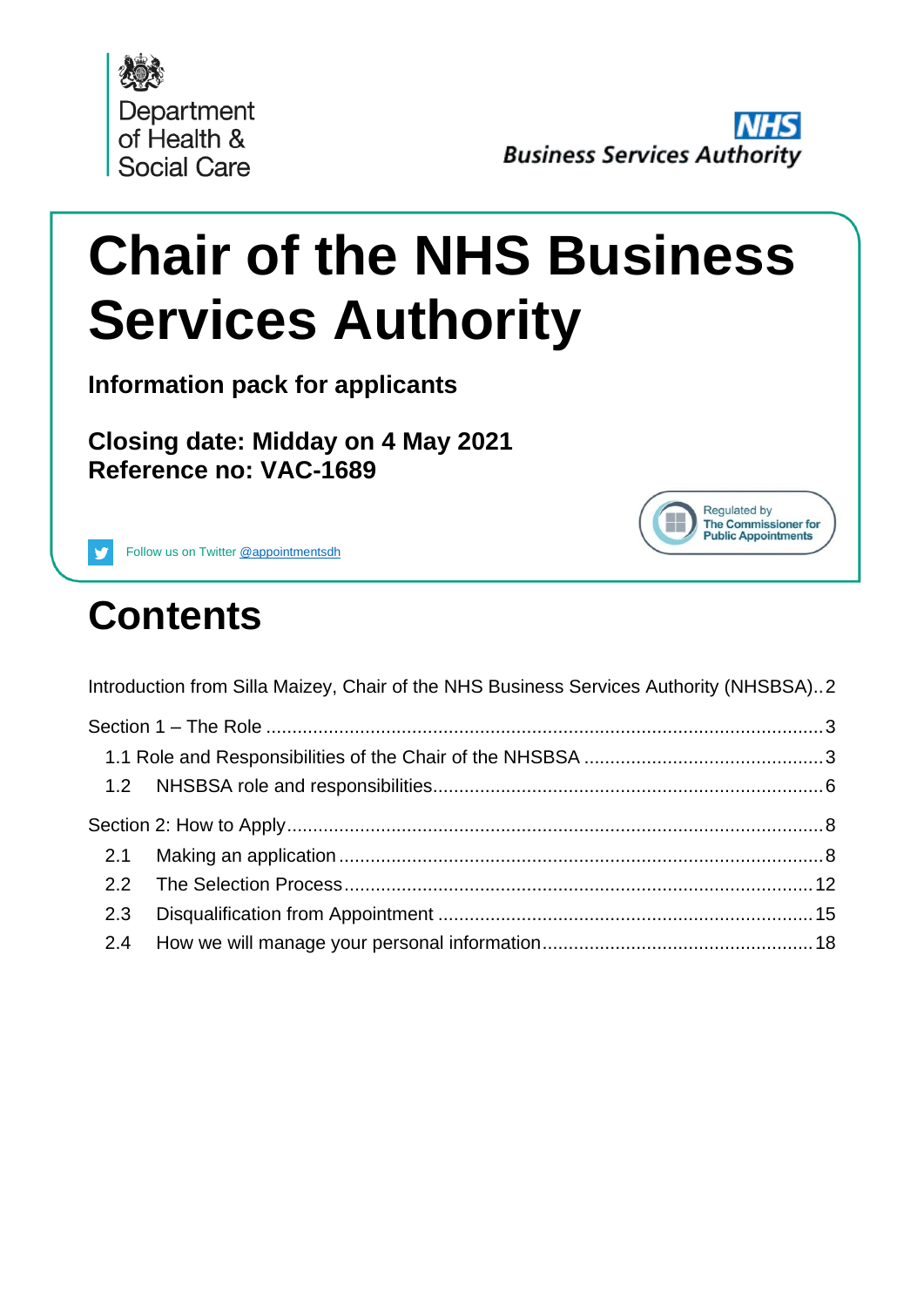

Regulated by The Commissioner for **Public Appointments** 

# **Chair of the NHS Business Services Authority**

**Information pack for applicants**

**Closing date: Midday on 4 May 2021 Reference no: VAC-1689**



## **Contents**

| Introduction from Silla Maizey, Chair of the NHS Business Services Authority (NHSBSA)2 |  |
|----------------------------------------------------------------------------------------|--|
|                                                                                        |  |
|                                                                                        |  |
|                                                                                        |  |
|                                                                                        |  |
| 2.1                                                                                    |  |
|                                                                                        |  |
| 2.3                                                                                    |  |
| 2.4                                                                                    |  |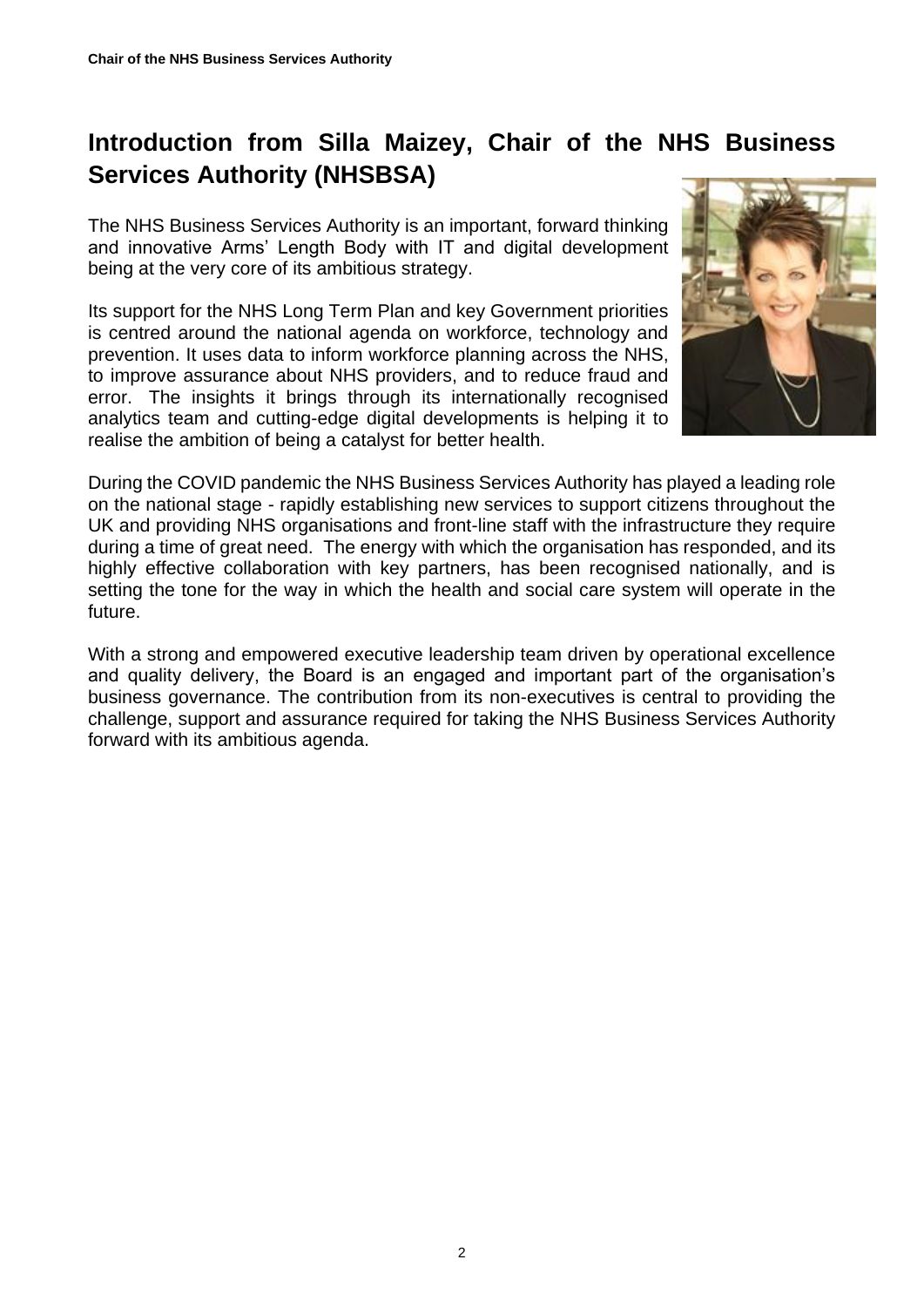#### <span id="page-1-0"></span>**Introduction from Silla Maizey, Chair of the NHS Business Services Authority (NHSBSA)**

The NHS Business Services Authority is an important, forward thinking and innovative Arms' Length Body with IT and digital development being at the very core of its ambitious strategy.

Its support for the NHS Long Term Plan and key Government priorities is centred around the national agenda on workforce, technology and prevention. It uses data to inform workforce planning across the NHS, to improve assurance about NHS providers, and to reduce fraud and error. The insights it brings through its internationally recognised analytics team and cutting-edge digital developments is helping it to realise the ambition of being a catalyst for better health.



During the COVID pandemic the NHS Business Services Authority has played a leading role on the national stage - rapidly establishing new services to support citizens throughout the UK and providing NHS organisations and front-line staff with the infrastructure they require during a time of great need. The energy with which the organisation has responded, and its highly effective collaboration with key partners, has been recognised nationally, and is setting the tone for the way in which the health and social care system will operate in the future.

With a strong and empowered executive leadership team driven by operational excellence and quality delivery, the Board is an engaged and important part of the organisation's business governance. The contribution from its non-executives is central to providing the challenge, support and assurance required for taking the NHS Business Services Authority forward with its ambitious agenda.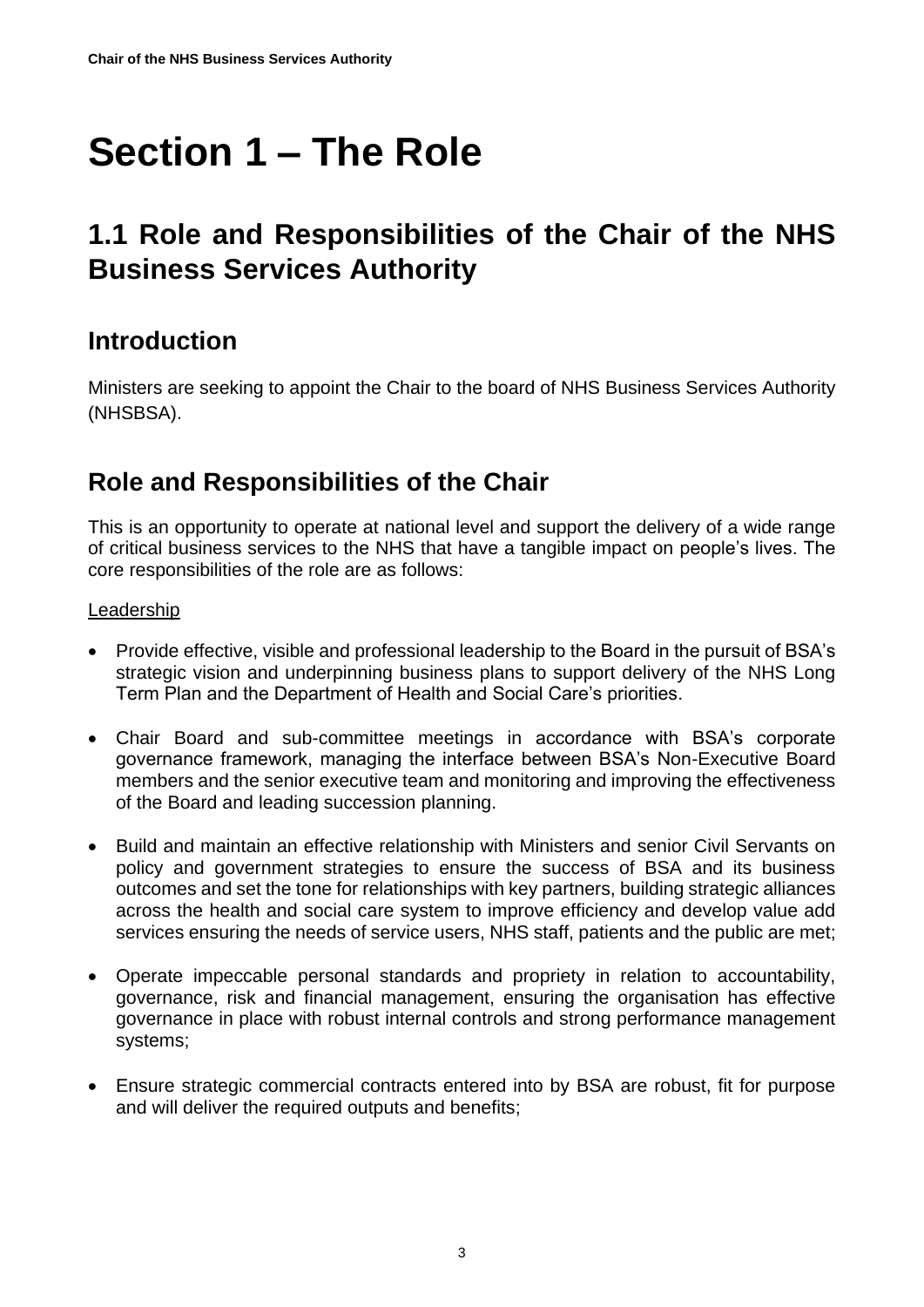## <span id="page-2-0"></span>**Section 1 – The Role**

## <span id="page-2-1"></span>**1.1 Role and Responsibilities of the Chair of the NHS Business Services Authority**

#### **Introduction**

Ministers are seeking to appoint the Chair to the board of NHS Business Services Authority (NHSBSA).

#### **Role and Responsibilities of the Chair**

This is an opportunity to operate at national level and support the delivery of a wide range of critical business services to the NHS that have a tangible impact on people's lives. The core responsibilities of the role are as follows:

#### Leadership

- Provide effective, visible and professional leadership to the Board in the pursuit of BSA's strategic vision and underpinning business plans to support delivery of the NHS Long Term Plan and the Department of Health and Social Care's priorities.
- Chair Board and sub-committee meetings in accordance with BSA's corporate governance framework, managing the interface between BSA's Non-Executive Board members and the senior executive team and monitoring and improving the effectiveness of the Board and leading succession planning.
- Build and maintain an effective relationship with Ministers and senior Civil Servants on policy and government strategies to ensure the success of BSA and its business outcomes and set the tone for relationships with key partners, building strategic alliances across the health and social care system to improve efficiency and develop value add services ensuring the needs of service users, NHS staff, patients and the public are met;
- Operate impeccable personal standards and propriety in relation to accountability, governance, risk and financial management, ensuring the organisation has effective governance in place with robust internal controls and strong performance management systems;
- Ensure strategic commercial contracts entered into by BSA are robust, fit for purpose and will deliver the required outputs and benefits;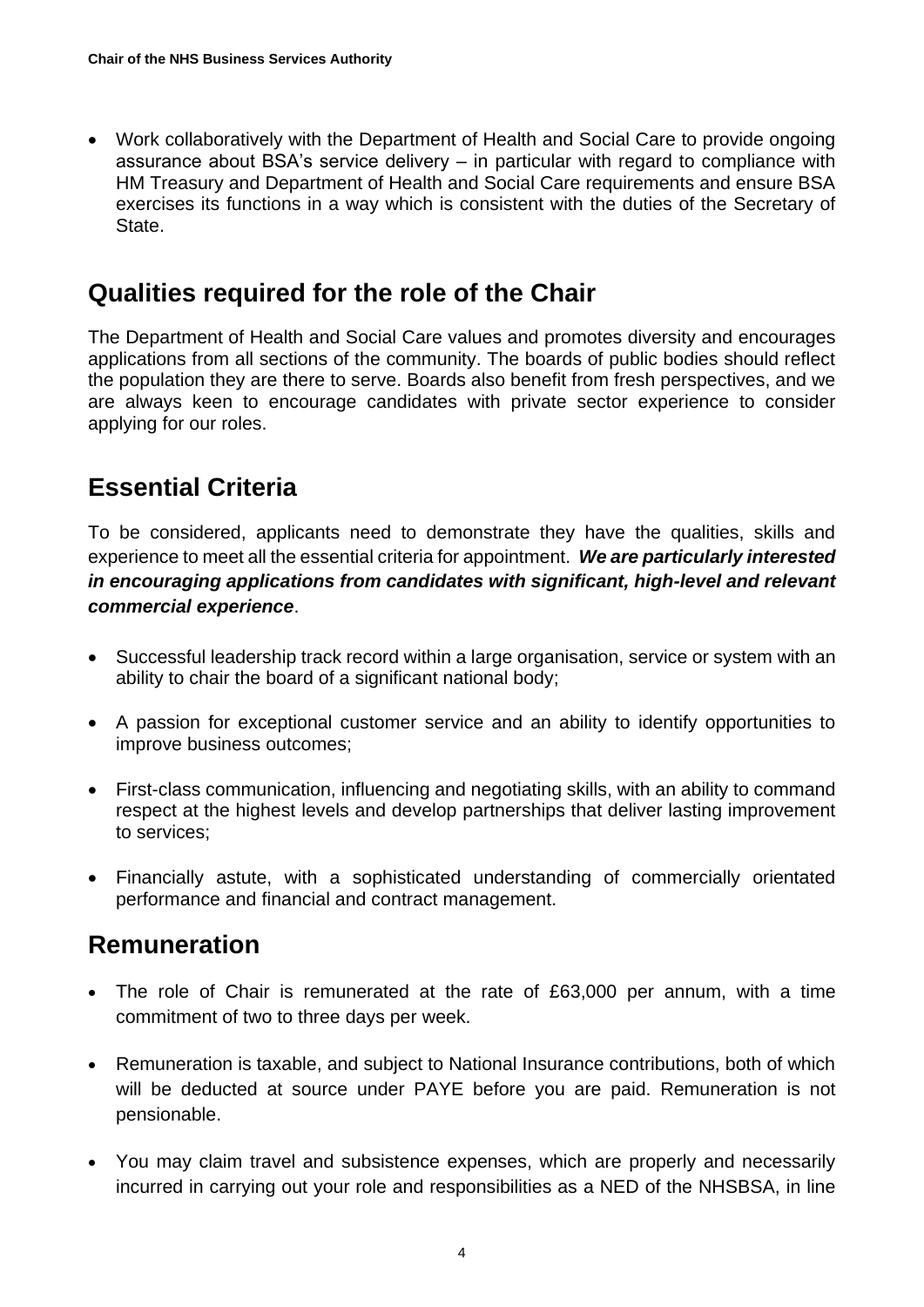• Work collaboratively with the Department of Health and Social Care to provide ongoing assurance about BSA's service delivery – in particular with regard to compliance with HM Treasury and Department of Health and Social Care requirements and ensure BSA exercises its functions in a way which is consistent with the duties of the Secretary of State.

#### **Qualities required for the role of the Chair**

The Department of Health and Social Care values and promotes diversity and encourages applications from all sections of the community. The boards of public bodies should reflect the population they are there to serve. Boards also benefit from fresh perspectives, and we are always keen to encourage candidates with private sector experience to consider applying for our roles.

#### **Essential Criteria**

To be considered, applicants need to demonstrate they have the qualities, skills and experience to meet all the essential criteria for appointment. *We are particularly interested in encouraging applications from candidates with significant, high-level and relevant commercial experience*.

- Successful leadership track record within a large organisation, service or system with an ability to chair the board of a significant national body;
- A passion for exceptional customer service and an ability to identify opportunities to improve business outcomes;
- First-class communication, influencing and negotiating skills, with an ability to command respect at the highest levels and develop partnerships that deliver lasting improvement to services;
- Financially astute, with a sophisticated understanding of commercially orientated performance and financial and contract management.

#### **Remuneration**

- The role of Chair is remunerated at the rate of £63,000 per annum, with a time commitment of two to three days per week.
- Remuneration is taxable, and subject to National Insurance contributions, both of which will be deducted at source under PAYE before you are paid. Remuneration is not pensionable.
- You may claim travel and subsistence expenses, which are properly and necessarily incurred in carrying out your role and responsibilities as a NED of the NHSBSA, in line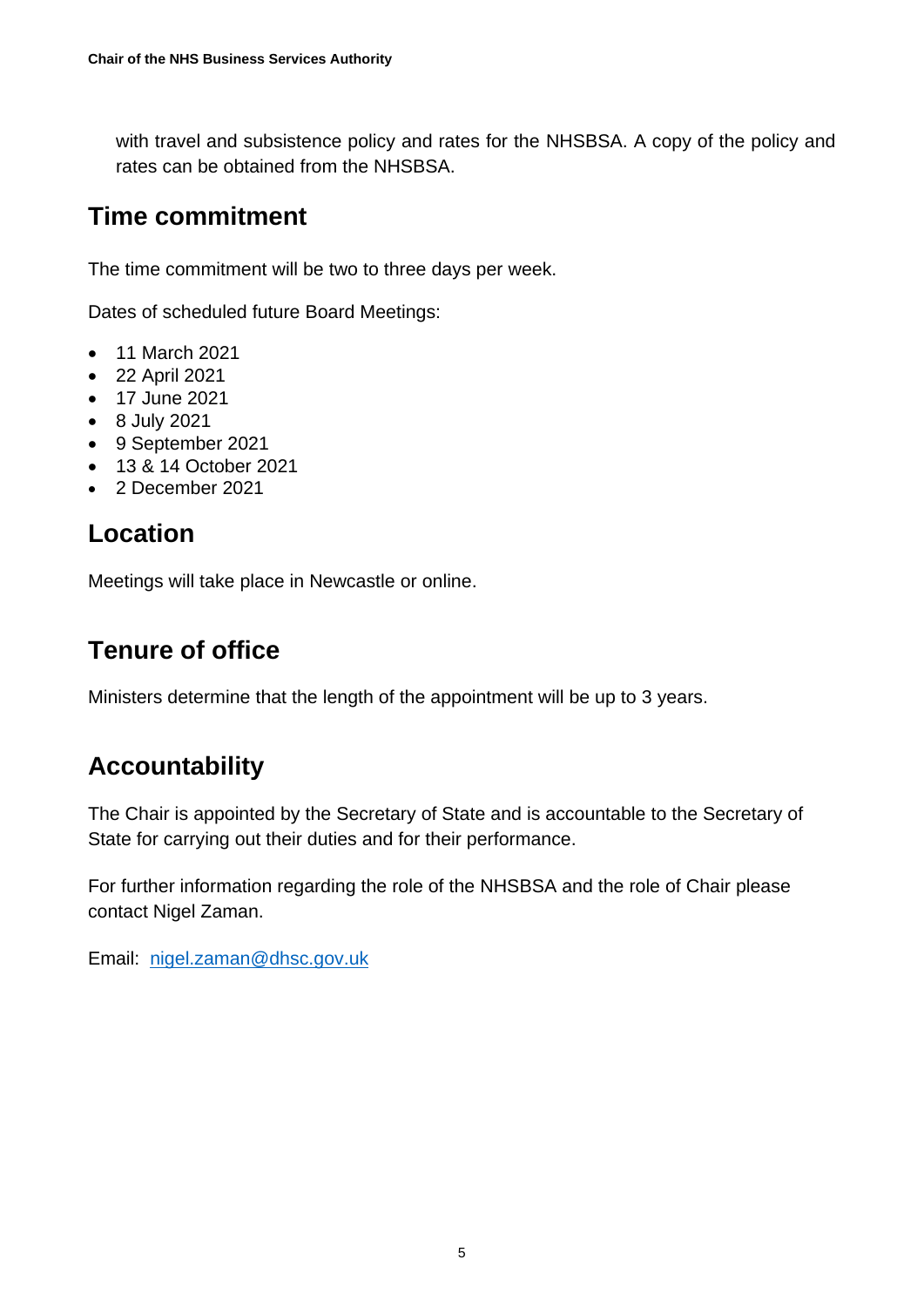with travel and subsistence policy and rates for the NHSBSA. A copy of the policy and rates can be obtained from the NHSBSA.

#### **Time commitment**

The time commitment will be two to three days per week.

Dates of scheduled future Board Meetings:

- 11 March 2021
- 22 April 2021
- 17 June 2021
- 8 July 2021
- 9 September 2021
- 13 & 14 October 2021
- 2 December 2021

#### **Location**

Meetings will take place in Newcastle or online.

#### **Tenure of office**

Ministers determine that the length of the appointment will be up to 3 years.

### **Accountability**

The Chair is appointed by the Secretary of State and is accountable to the Secretary of State for carrying out their duties and for their performance.

For further information regarding the role of the NHSBSA and the role of Chair please contact Nigel Zaman.

Email: [nigel.zaman@dhsc.gov.uk](mailto:nigel.zaman@dhsc.gov.uk)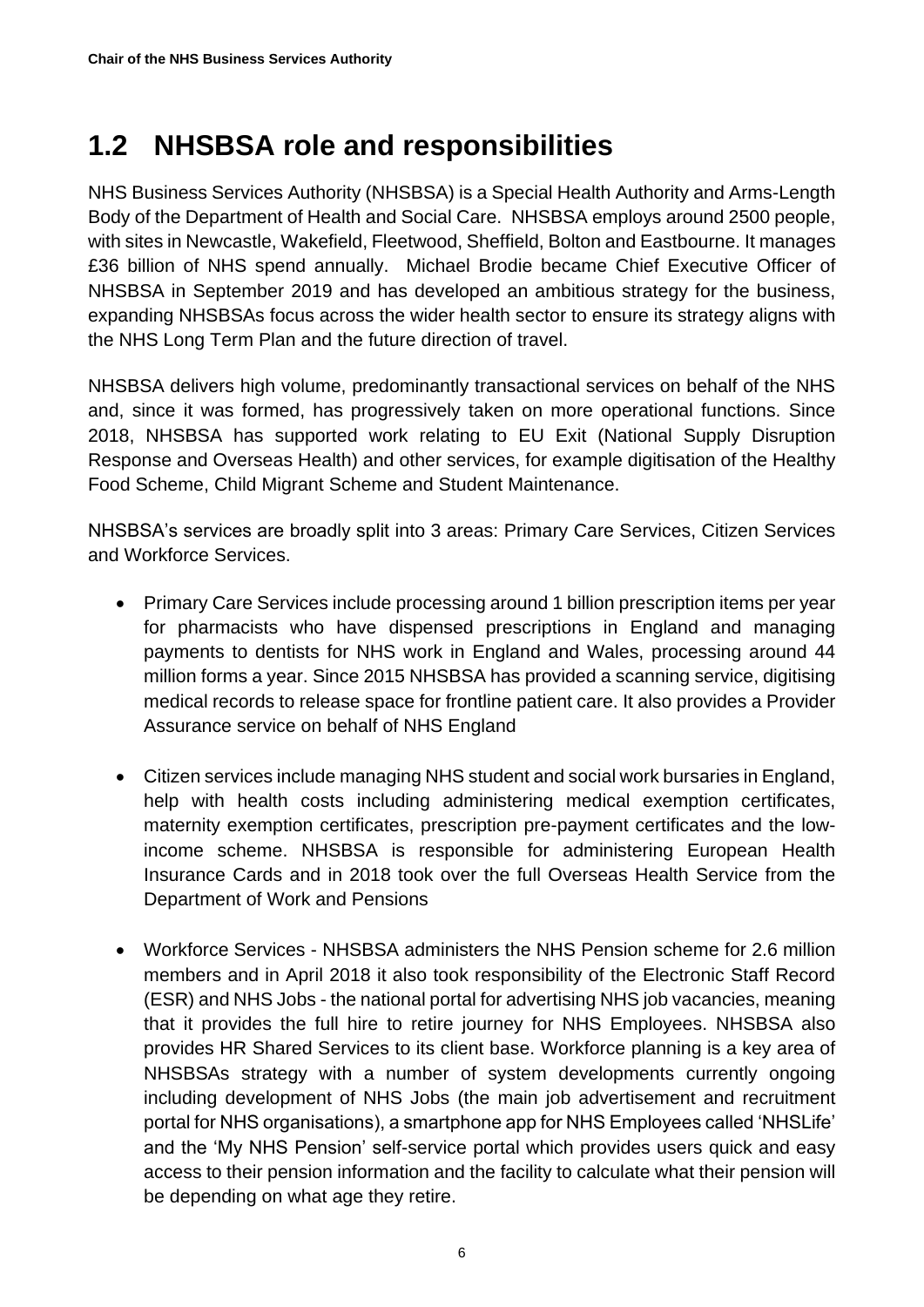## <span id="page-5-0"></span>**1.2 NHSBSA role and responsibilities**

NHS Business Services Authority (NHSBSA) is a Special Health Authority and Arms-Length Body of the Department of Health and Social Care. NHSBSA employs around 2500 people, with sites in Newcastle, Wakefield, Fleetwood, Sheffield, Bolton and Eastbourne. It manages £36 billion of NHS spend annually. Michael Brodie became Chief Executive Officer of NHSBSA in September 2019 and has developed an ambitious strategy for the business, expanding NHSBSAs focus across the wider health sector to ensure its strategy aligns with the NHS Long Term Plan and the future direction of travel.

NHSBSA delivers high volume, predominantly transactional services on behalf of the NHS and, since it was formed, has progressively taken on more operational functions. Since 2018, NHSBSA has supported work relating to EU Exit (National Supply Disruption Response and Overseas Health) and other services, for example digitisation of the Healthy Food Scheme, Child Migrant Scheme and Student Maintenance.

NHSBSA's services are broadly split into 3 areas: Primary Care Services, Citizen Services and Workforce Services.

- Primary Care Services include processing around 1 billion prescription items per year for pharmacists who have dispensed prescriptions in England and managing payments to dentists for NHS work in England and Wales, processing around 44 million forms a year. Since 2015 NHSBSA has provided a scanning service, digitising medical records to release space for frontline patient care. It also provides a Provider Assurance service on behalf of NHS England
- Citizen services include managing NHS student and social work bursaries in England, help with health costs including administering medical exemption certificates, maternity exemption certificates, prescription pre-payment certificates and the lowincome scheme. NHSBSA is responsible for administering European Health Insurance Cards and in 2018 took over the full Overseas Health Service from the Department of Work and Pensions
- Workforce Services NHSBSA administers the NHS Pension scheme for 2.6 million members and in April 2018 it also took responsibility of the Electronic Staff Record (ESR) and NHS Jobs - the national portal for advertising NHS job vacancies, meaning that it provides the full hire to retire journey for NHS Employees. NHSBSA also provides HR Shared Services to its client base. Workforce planning is a key area of NHSBSAs strategy with a number of system developments currently ongoing including development of NHS Jobs (the main job advertisement and recruitment portal for NHS organisations), a smartphone app for NHS Employees called 'NHSLife' and the 'My NHS Pension' self-service portal which provides users quick and easy access to their pension information and the facility to calculate what their pension will be depending on what age they retire.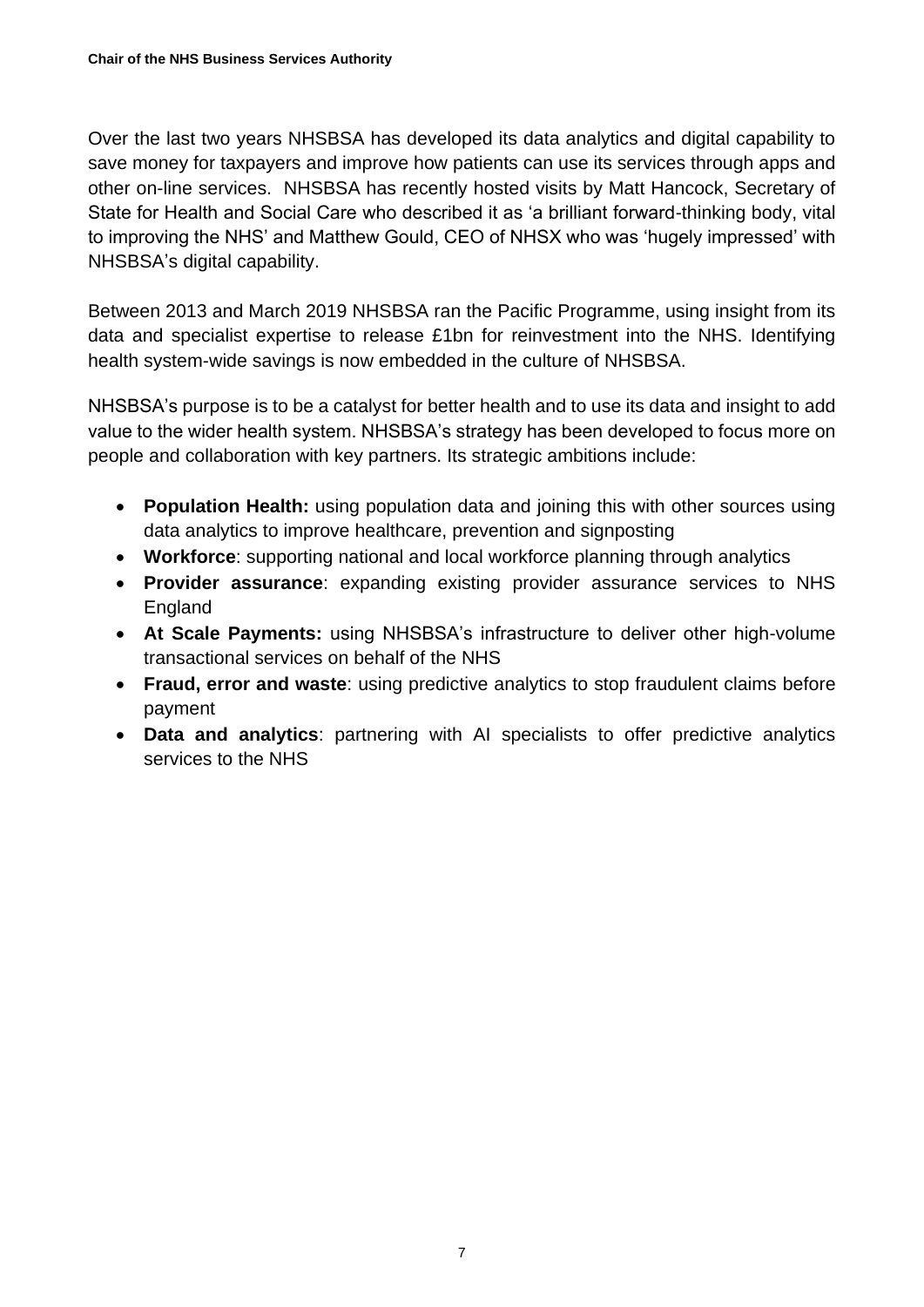Over the last two years NHSBSA has developed its data analytics and digital capability to save money for taxpayers and improve how patients can use its services through apps and other on-line services. NHSBSA has recently hosted visits by Matt Hancock, Secretary of State for Health and Social Care who described it as 'a brilliant forward-thinking body, vital to improving the NHS' and Matthew Gould, CEO of NHSX who was 'hugely impressed' with NHSBSA's digital capability.

Between 2013 and March 2019 NHSBSA ran the Pacific Programme, using insight from its data and specialist expertise to release £1bn for reinvestment into the NHS. Identifying health system-wide savings is now embedded in the culture of NHSBSA.

NHSBSA's purpose is to be a catalyst for better health and to use its data and insight to add value to the wider health system. NHSBSA's strategy has been developed to focus more on people and collaboration with key partners. Its strategic ambitions include:

- **Population Health:** using population data and joining this with other sources using data analytics to improve healthcare, prevention and signposting
- **Workforce**: supporting national and local workforce planning through analytics
- **Provider assurance**: expanding existing provider assurance services to NHS England
- **At Scale Payments:** using NHSBSA's infrastructure to deliver other high-volume transactional services on behalf of the NHS
- **Fraud, error and waste**: using predictive analytics to stop fraudulent claims before payment
- **Data and analytics**: partnering with AI specialists to offer predictive analytics services to the NHS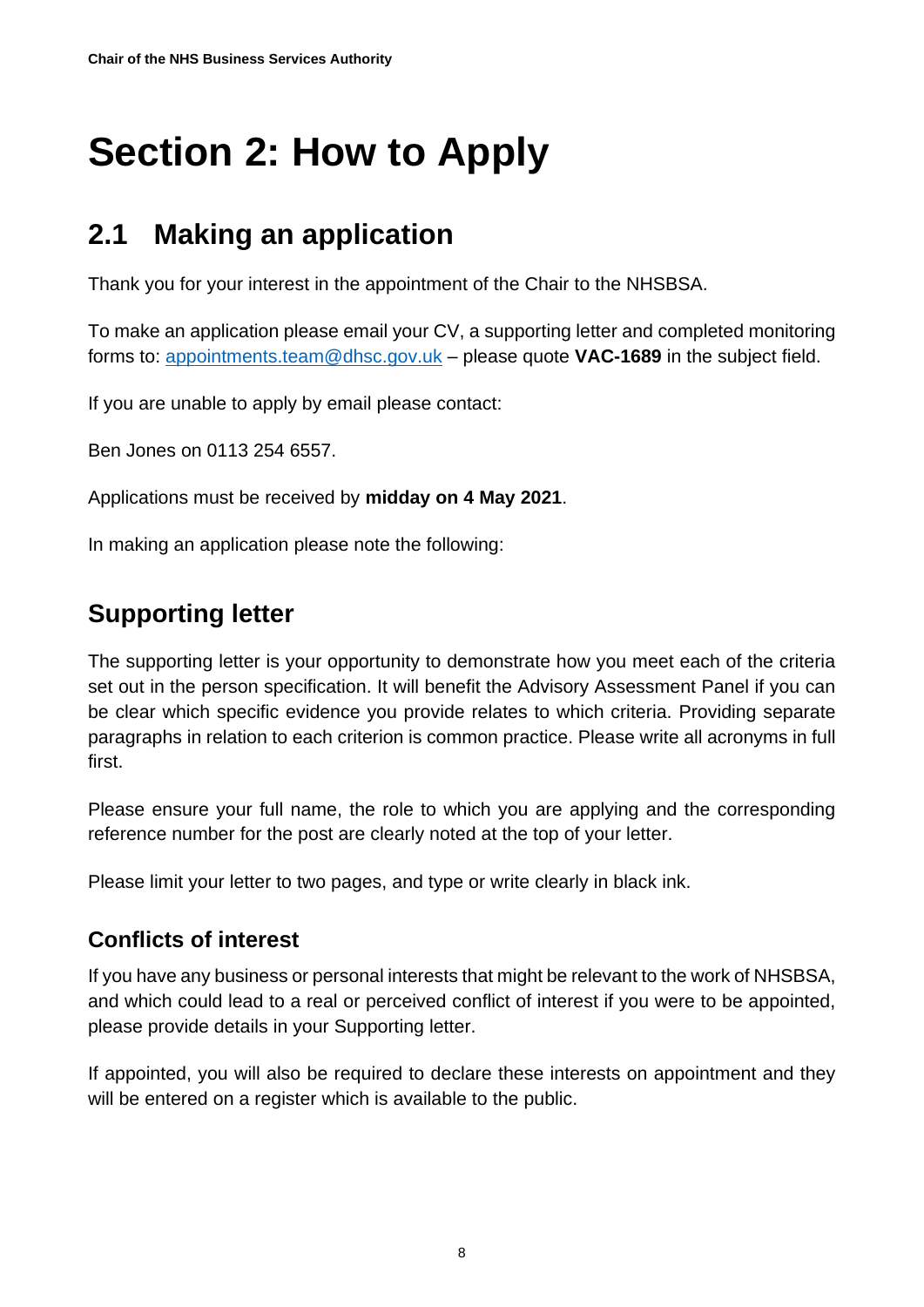## <span id="page-7-0"></span>**Section 2: How to Apply**

## <span id="page-7-1"></span>**2.1 Making an application**

Thank you for your interest in the appointment of the Chair to the NHSBSA.

To make an application please email your CV, a supporting letter and completed monitoring forms to: [appointments.team@dhsc.gov.uk](mailto:appointments.team@dhsc.gov.uk) – please quote **VAC-1689** in the subject field.

If you are unable to apply by email please contact:

Ben Jones on 0113 254 6557.

Applications must be received by **midday on 4 May 2021**.

In making an application please note the following:

#### **Supporting letter**

The supporting letter is your opportunity to demonstrate how you meet each of the criteria set out in the person specification. It will benefit the Advisory Assessment Panel if you can be clear which specific evidence you provide relates to which criteria. Providing separate paragraphs in relation to each criterion is common practice. Please write all acronyms in full first.

Please ensure your full name, the role to which you are applying and the corresponding reference number for the post are clearly noted at the top of your letter.

Please limit your letter to two pages, and type or write clearly in black ink.

#### **Conflicts of interest**

If you have any business or personal interests that might be relevant to the work of NHSBSA, and which could lead to a real or perceived conflict of interest if you were to be appointed, please provide details in your Supporting letter.

If appointed, you will also be required to declare these interests on appointment and they will be entered on a register which is available to the public.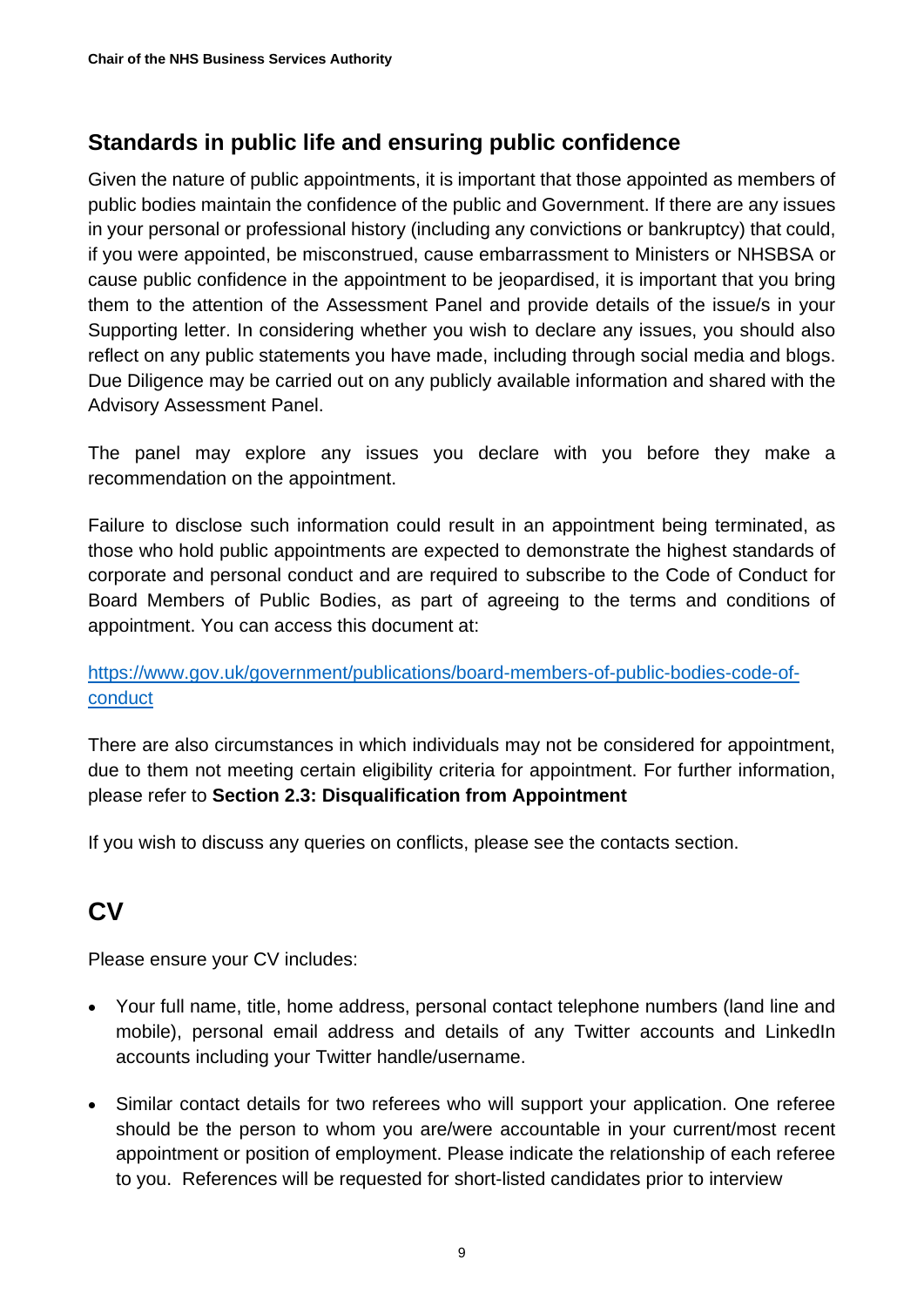#### **Standards in public life and ensuring public confidence**

Given the nature of public appointments, it is important that those appointed as members of public bodies maintain the confidence of the public and Government. If there are any issues in your personal or professional history (including any convictions or bankruptcy) that could, if you were appointed, be misconstrued, cause embarrassment to Ministers or NHSBSA or cause public confidence in the appointment to be jeopardised, it is important that you bring them to the attention of the Assessment Panel and provide details of the issue/s in your Supporting letter. In considering whether you wish to declare any issues, you should also reflect on any public statements you have made, including through social media and blogs. Due Diligence may be carried out on any publicly available information and shared with the Advisory Assessment Panel.

The panel may explore any issues you declare with you before they make a recommendation on the appointment.

Failure to disclose such information could result in an appointment being terminated, as those who hold public appointments are expected to demonstrate the highest standards of corporate and personal conduct and are required to subscribe to the Code of Conduct for Board Members of Public Bodies, as part of agreeing to the terms and conditions of appointment. You can access this document at:

#### [https://www.gov.uk/government/publications/board-members-of-public-bodies-code-of](https://www.gov.uk/government/publications/board-members-of-public-bodies-code-of-conduct)[conduct](https://www.gov.uk/government/publications/board-members-of-public-bodies-code-of-conduct)

There are also circumstances in which individuals may not be considered for appointment, due to them not meeting certain eligibility criteria for appointment. For further information, please refer to **Section 2.3: Disqualification from Appointment**

If you wish to discuss any queries on conflicts, please see the contacts section.

## **CV**

Please ensure your CV includes:

- Your full name, title, home address, personal contact telephone numbers (land line and mobile), personal email address and details of any Twitter accounts and LinkedIn accounts including your Twitter handle/username.
- Similar contact details for two referees who will support your application. One referee should be the person to whom you are/were accountable in your current/most recent appointment or position of employment. Please indicate the relationship of each referee to you. References will be requested for short-listed candidates prior to interview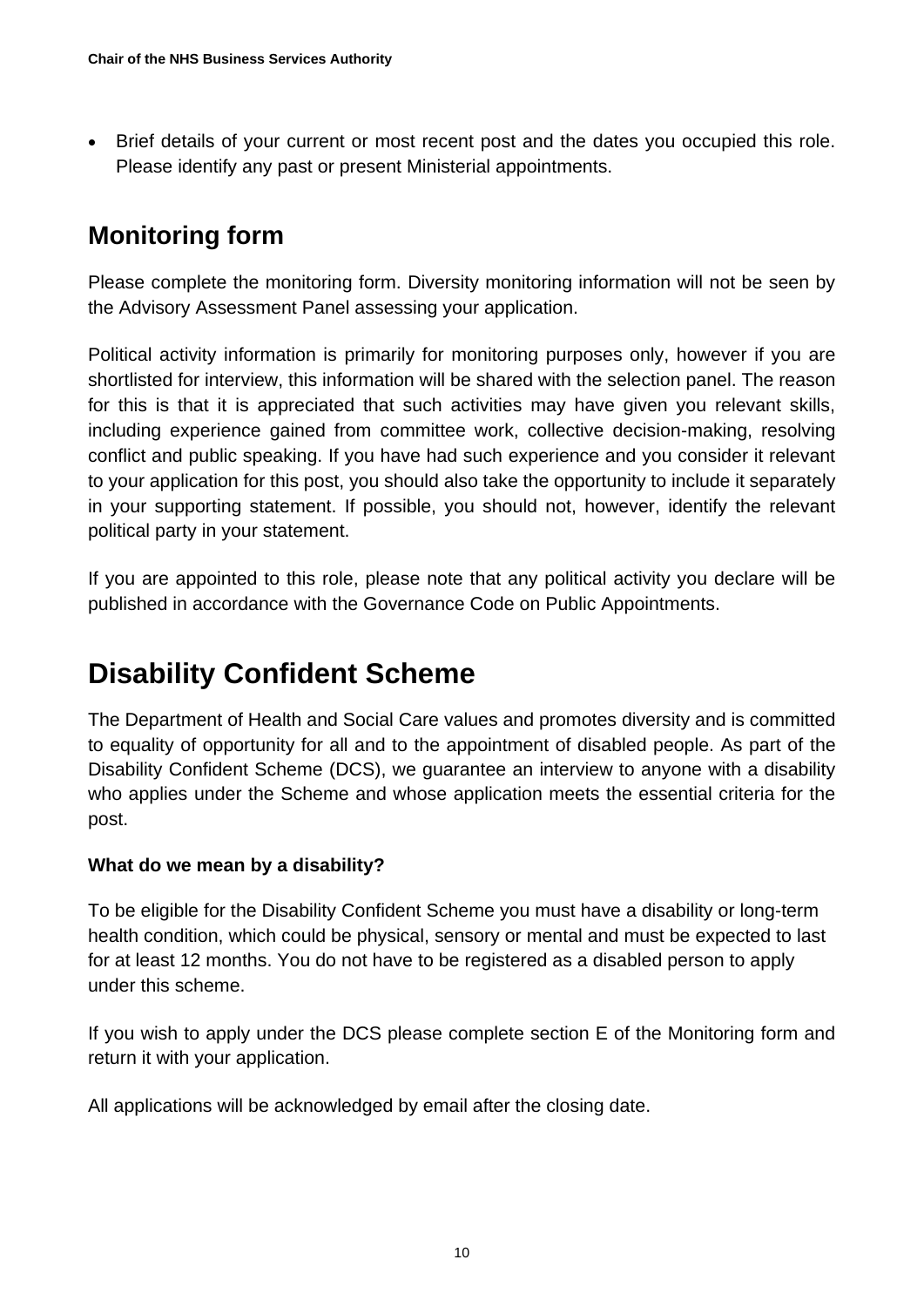• Brief details of your current or most recent post and the dates you occupied this role. Please identify any past or present Ministerial appointments.

### **Monitoring form**

Please complete the monitoring form. Diversity monitoring information will not be seen by the Advisory Assessment Panel assessing your application.

Political activity information is primarily for monitoring purposes only, however if you are shortlisted for interview, this information will be shared with the selection panel. The reason for this is that it is appreciated that such activities may have given you relevant skills, including experience gained from committee work, collective decision-making, resolving conflict and public speaking. If you have had such experience and you consider it relevant to your application for this post, you should also take the opportunity to include it separately in your supporting statement. If possible, you should not, however, identify the relevant political party in your statement.

If you are appointed to this role, please note that any political activity you declare will be published in accordance with the Governance Code on Public Appointments.

## **Disability Confident Scheme**

The Department of Health and Social Care values and promotes diversity and is committed to equality of opportunity for all and to the appointment of disabled people. As part of the Disability Confident Scheme (DCS), we guarantee an interview to anyone with a disability who applies under the Scheme and whose application meets the essential criteria for the post.

#### **What do we mean by a disability?**

To be eligible for the Disability Confident Scheme you must have a disability or long-term health condition, which could be physical, sensory or mental and must be expected to last for at least 12 months. You do not have to be registered as a disabled person to apply under this scheme.

If you wish to apply under the DCS please complete section E of the Monitoring form and return it with your application.

All applications will be acknowledged by email after the closing date.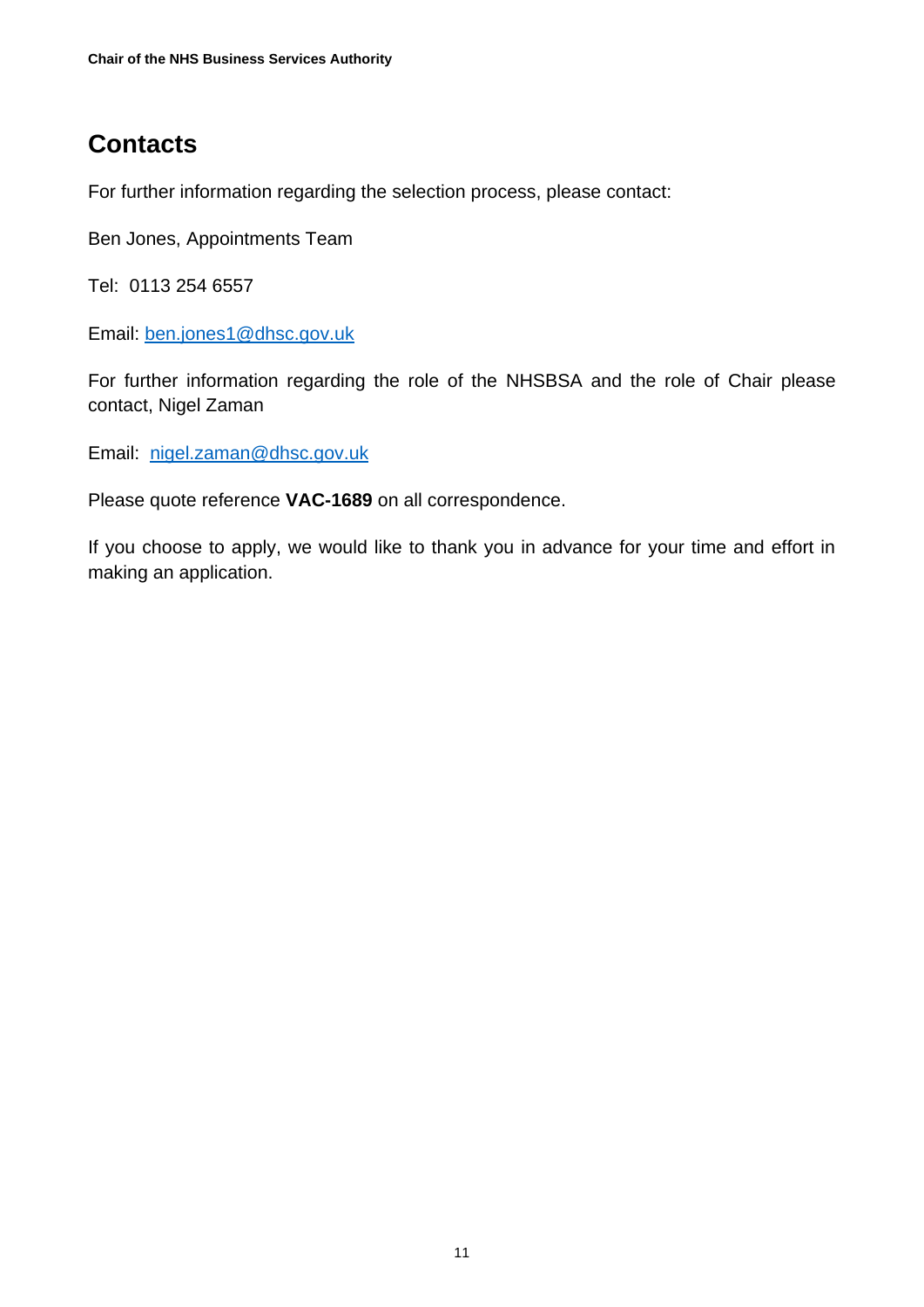### **Contacts**

For further information regarding the selection process, please contact:

Ben Jones, Appointments Team

Tel: 0113 254 6557

Email: [ben.jones1@dhsc.gov.uk](mailto:ben.jones1@dhsc.gov.uk)

For further information regarding the role of the NHSBSA and the role of Chair please contact, Nigel Zaman

Email: [nigel.zaman@dhsc.gov.uk](mailto:nigel.zaman@dhsc.gov.uk)

Please quote reference **VAC-1689** on all correspondence.

If you choose to apply, we would like to thank you in advance for your time and effort in making an application.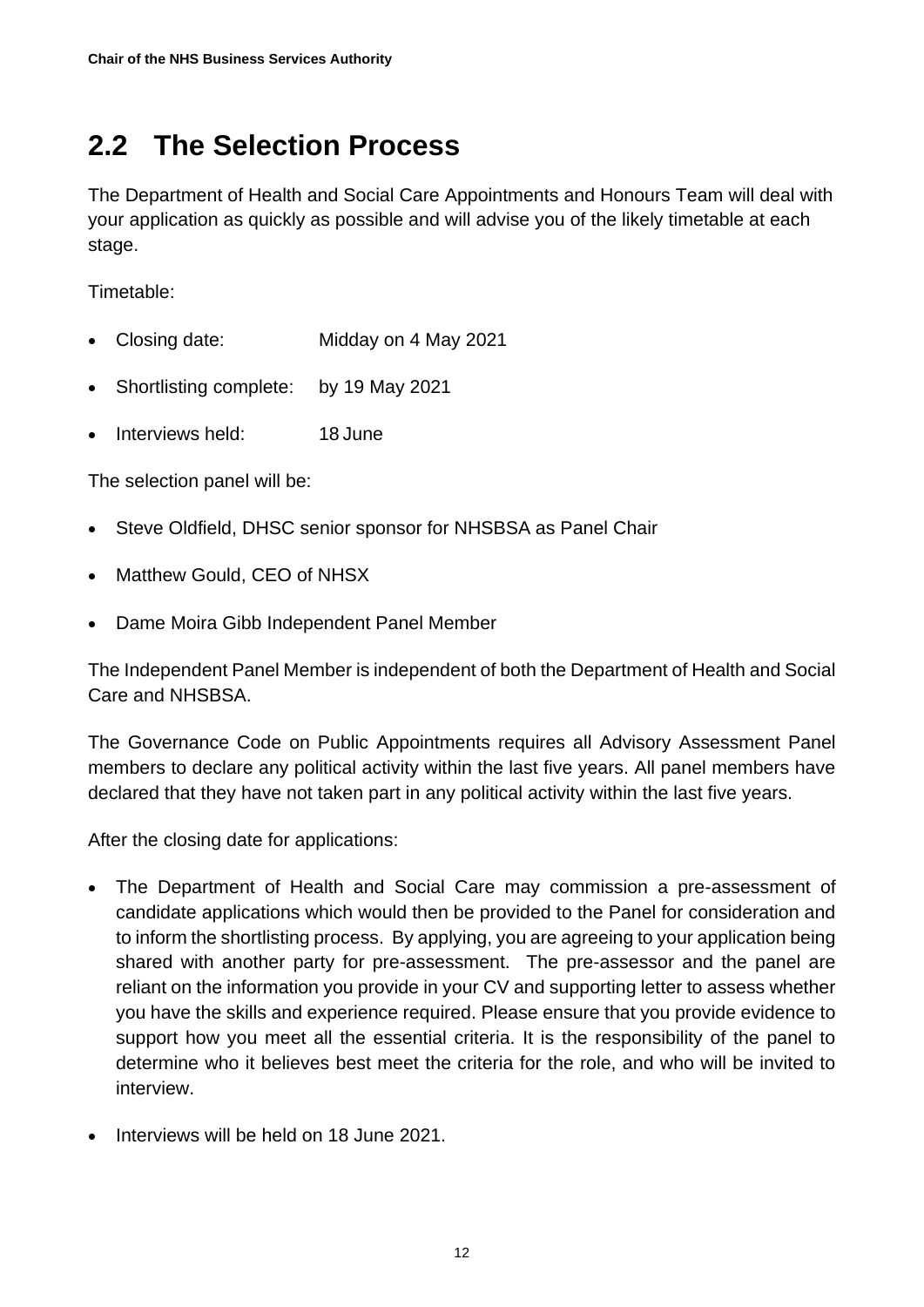## <span id="page-11-0"></span>**2.2 The Selection Process**

The Department of Health and Social Care Appointments and Honours Team will deal with your application as quickly as possible and will advise you of the likely timetable at each stage.

Timetable:

- Closing date: Midday on 4 May 2021
- Shortlisting complete: by 19 May 2021
- Interviews held: 18 June

The selection panel will be:

- Steve Oldfield, DHSC senior sponsor for NHSBSA as Panel Chair
- Matthew Gould, CEO of NHSX
- Dame Moira Gibb Independent Panel Member

The Independent Panel Member is independent of both the Department of Health and Social Care and NHSBSA.

The Governance Code on Public Appointments requires all Advisory Assessment Panel members to declare any political activity within the last five years. All panel members have declared that they have not taken part in any political activity within the last five years.

After the closing date for applications:

- The Department of Health and Social Care may commission a pre-assessment of candidate applications which would then be provided to the Panel for consideration and to inform the shortlisting process. By applying, you are agreeing to your application being shared with another party for pre-assessment. The pre-assessor and the panel are reliant on the information you provide in your CV and supporting letter to assess whether you have the skills and experience required. Please ensure that you provide evidence to support how you meet all the essential criteria. It is the responsibility of the panel to determine who it believes best meet the criteria for the role, and who will be invited to interview.
- Interviews will be held on 18 June 2021.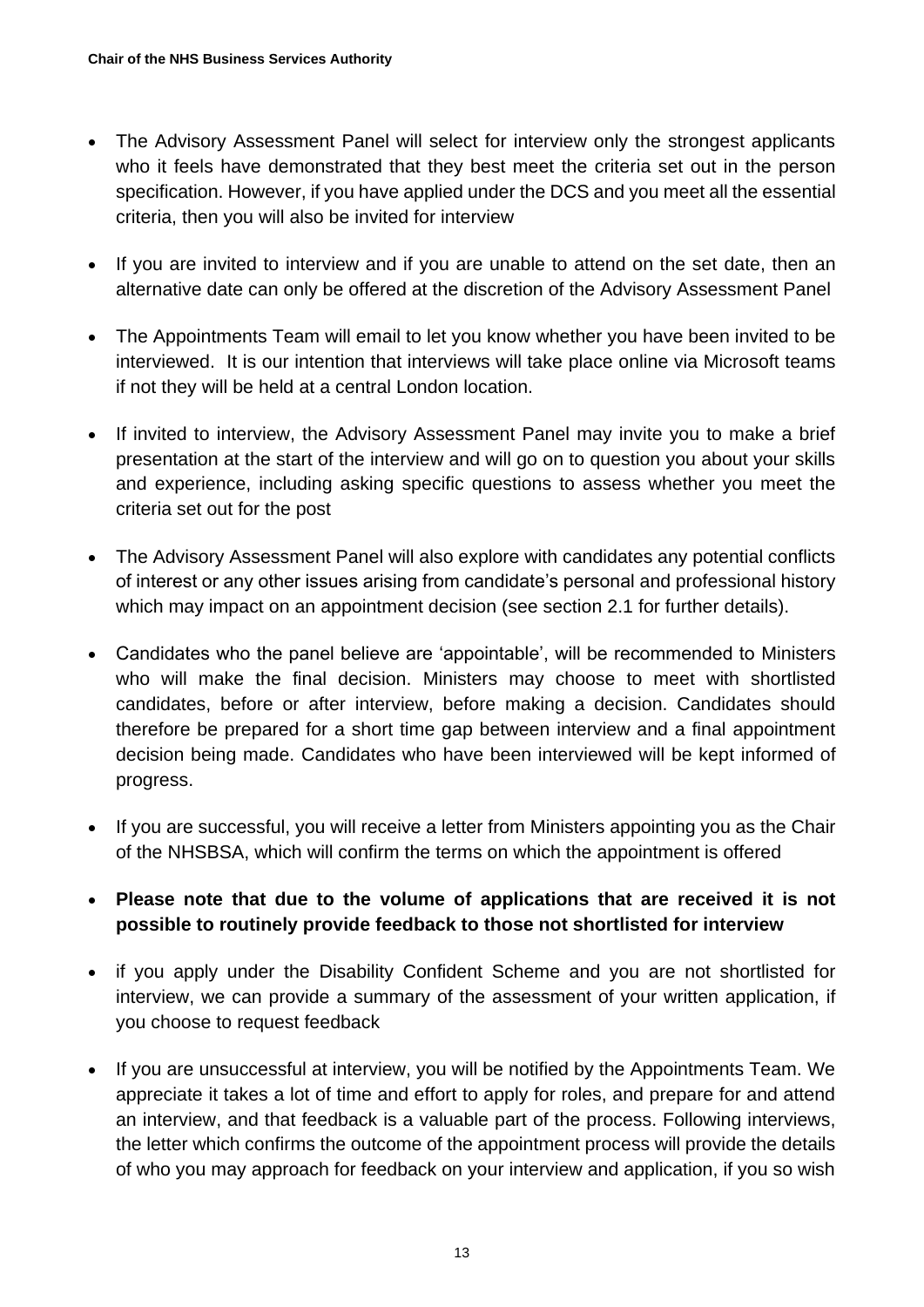- The Advisory Assessment Panel will select for interview only the strongest applicants who it feels have demonstrated that they best meet the criteria set out in the person specification. However, if you have applied under the DCS and you meet all the essential criteria, then you will also be invited for interview
- If you are invited to interview and if you are unable to attend on the set date, then an alternative date can only be offered at the discretion of the Advisory Assessment Panel
- The Appointments Team will email to let you know whether you have been invited to be interviewed. It is our intention that interviews will take place online via Microsoft teams if not they will be held at a central London location.
- If invited to interview, the Advisory Assessment Panel may invite you to make a brief presentation at the start of the interview and will go on to question you about your skills and experience, including asking specific questions to assess whether you meet the criteria set out for the post
- The Advisory Assessment Panel will also explore with candidates any potential conflicts of interest or any other issues arising from candidate's personal and professional history which may impact on an appointment decision (see section 2.1 for further details).
- Candidates who the panel believe are 'appointable', will be recommended to Ministers who will make the final decision. Ministers may choose to meet with shortlisted candidates, before or after interview, before making a decision. Candidates should therefore be prepared for a short time gap between interview and a final appointment decision being made. Candidates who have been interviewed will be kept informed of progress.
- If you are successful, you will receive a letter from Ministers appointing you as the Chair of the NHSBSA, which will confirm the terms on which the appointment is offered
- **Please note that due to the volume of applications that are received it is not possible to routinely provide feedback to those not shortlisted for interview**
- if you apply under the Disability Confident Scheme and you are not shortlisted for interview, we can provide a summary of the assessment of your written application, if you choose to request feedback
- If you are unsuccessful at interview, you will be notified by the Appointments Team. We appreciate it takes a lot of time and effort to apply for roles, and prepare for and attend an interview, and that feedback is a valuable part of the process. Following interviews, the letter which confirms the outcome of the appointment process will provide the details of who you may approach for feedback on your interview and application, if you so wish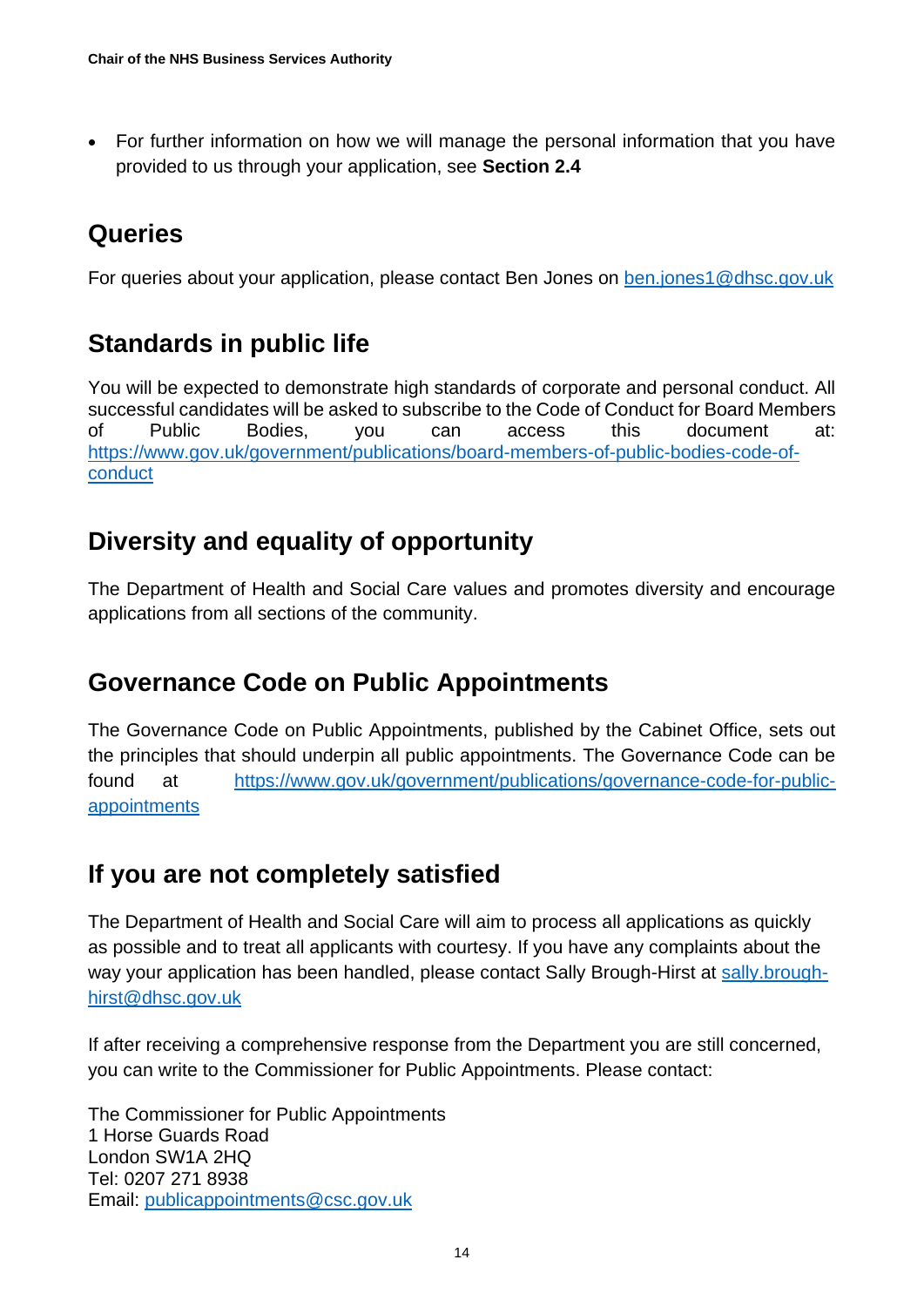• For further information on how we will manage the personal information that you have provided to us through your application, see **Section 2.4**

#### **Queries**

For queries about your application, please contact Ben Jones on [ben.jones1@dhsc.gov.uk](mailto:ben.jones1@dhsc.gov.uk)

#### **Standards in public life**

You will be expected to demonstrate high standards of corporate and personal conduct. All successful candidates will be asked to subscribe to the Code of Conduct for Board Members of Public Bodies, you can access this document at: [https://www.gov.uk/government/publications/board-members-of-public-bodies-code-of](https://www.gov.uk/government/publications/board-members-of-public-bodies-code-of-conduct)[conduct](https://www.gov.uk/government/publications/board-members-of-public-bodies-code-of-conduct)

#### **Diversity and equality of opportunity**

The Department of Health and Social Care values and promotes diversity and encourage applications from all sections of the community.

#### **Governance Code on Public Appointments**

The Governance Code on Public Appointments, published by the Cabinet Office, sets out the principles that should underpin all public appointments. The Governance Code can be found at [https://www.gov.uk/government/publications/governance-code-for-public](https://www.gov.uk/government/publications/governance-code-for-public-appointments)[appointments](https://www.gov.uk/government/publications/governance-code-for-public-appointments)

#### **If you are not completely satisfied**

The Department of Health and Social Care will aim to process all applications as quickly as possible and to treat all applicants with courtesy. If you have any complaints about the way your application has been handled, please contact Sally Brough-Hirst at [sally.brough](mailto:sally.brough-hirst@dhsc.gov.uk)[hirst@dhsc.gov.uk](mailto:sally.brough-hirst@dhsc.gov.uk)

If after receiving a comprehensive response from the Department you are still concerned, you can write to the Commissioner for Public Appointments. Please contact:

The Commissioner for Public Appointments 1 Horse Guards Road London SW1A 2HQ Tel: 0207 271 8938 Email: [publicappointments@csc.gov.uk](mailto:publicappointments@csc.gsi.gov.uk)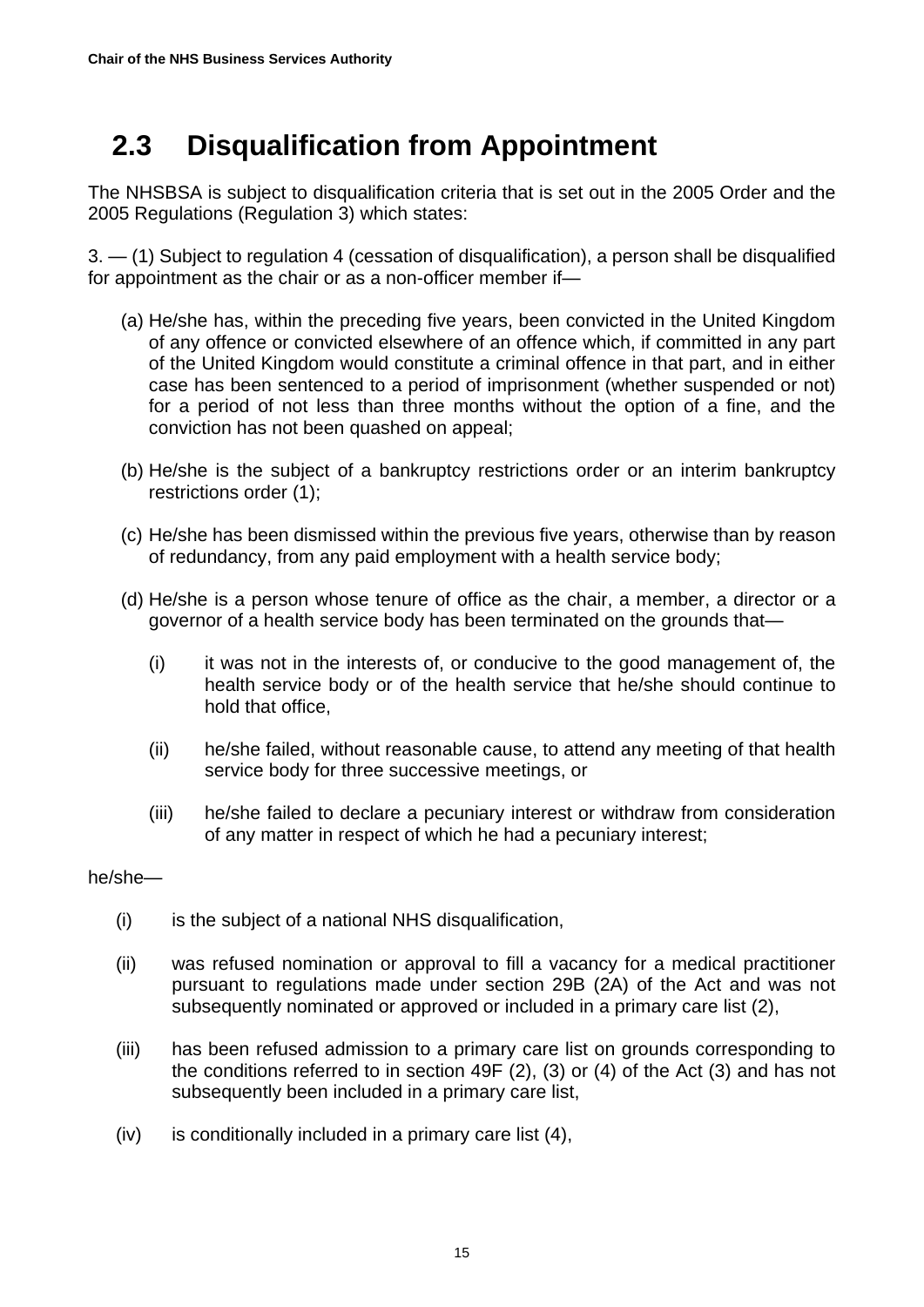## <span id="page-14-0"></span> **2.3 Disqualification from Appointment**

The NHSBSA is subject to disqualification criteria that is set out in the 2005 Order and the 2005 Regulations (Regulation 3) which states:

3. — (1) Subject to regulation 4 (cessation of disqualification), a person shall be disqualified for appointment as the chair or as a non-officer member if—

- (a) He/she has, within the preceding five years, been convicted in the United Kingdom of any offence or convicted elsewhere of an offence which, if committed in any part of the United Kingdom would constitute a criminal offence in that part, and in either case has been sentenced to a period of imprisonment (whether suspended or not) for a period of not less than three months without the option of a fine, and the conviction has not been quashed on appeal;
- (b) He/she is the subject of a bankruptcy restrictions order or an interim bankruptcy restrictions order (1);
- (c) He/she has been dismissed within the previous five years, otherwise than by reason of redundancy, from any paid employment with a health service body;
- (d) He/she is a person whose tenure of office as the chair, a member, a director or a governor of a health service body has been terminated on the grounds that—
	- (i) it was not in the interests of, or conducive to the good management of, the health service body or of the health service that he/she should continue to hold that office,
	- (ii) he/she failed, without reasonable cause, to attend any meeting of that health service body for three successive meetings, or
	- (iii) he/she failed to declare a pecuniary interest or withdraw from consideration of any matter in respect of which he had a pecuniary interest;

#### he/she—

- (i) is the subject of a national NHS disqualification,
- (ii) was refused nomination or approval to fill a vacancy for a medical practitioner pursuant to regulations made under section 29B (2A) of the Act and was not subsequently nominated or approved or included in a primary care list (2),
- (iii) has been refused admission to a primary care list on grounds corresponding to the conditions referred to in section 49F (2), (3) or (4) of the Act (3) and has not subsequently been included in a primary care list,
- (iv) is conditionally included in a primary care list (4),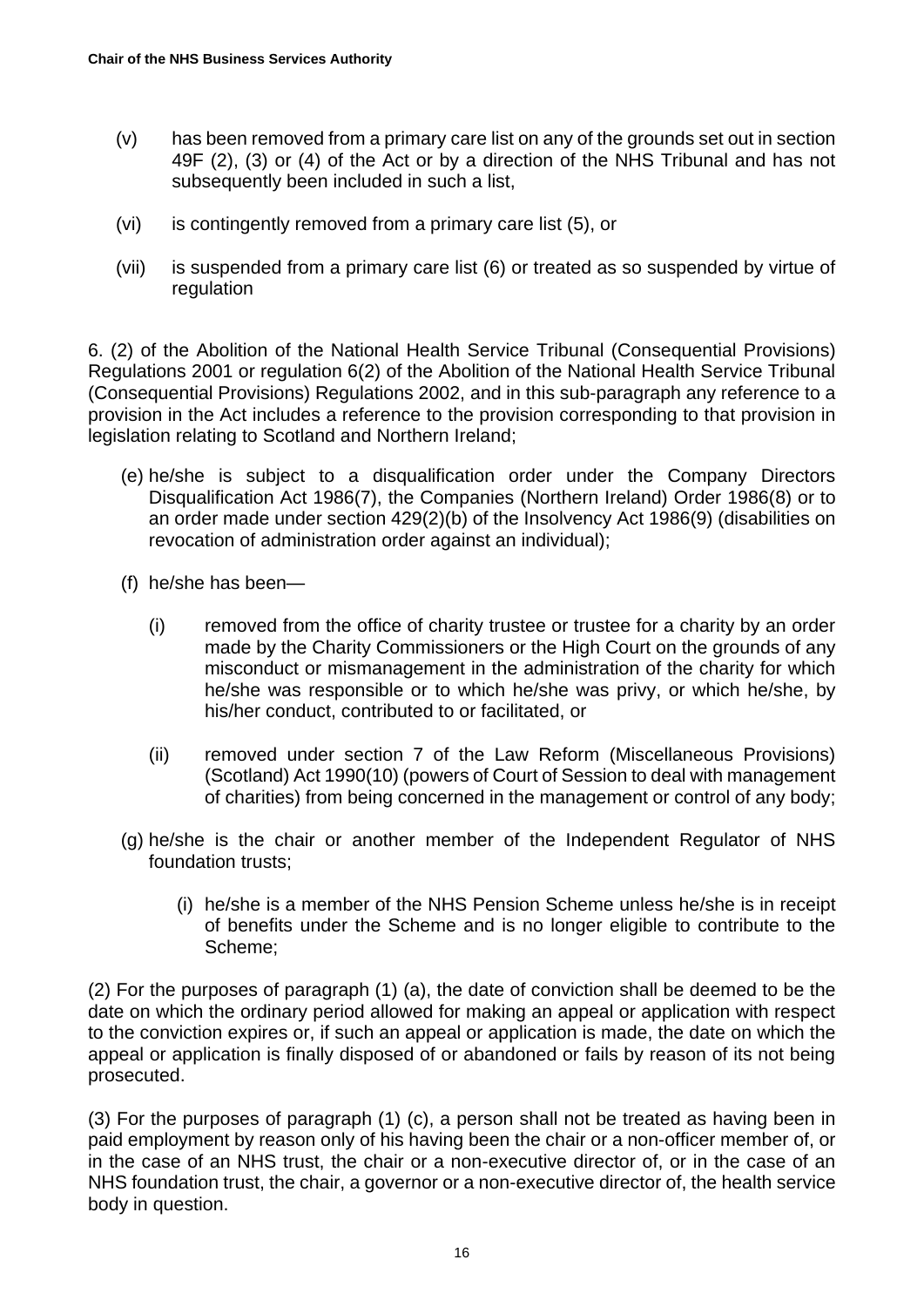- (v) has been removed from a primary care list on any of the grounds set out in section 49F (2), (3) or (4) of the Act or by a direction of the NHS Tribunal and has not subsequently been included in such a list,
- (vi) is contingently removed from a primary care list (5), or
- (vii) is suspended from a primary care list (6) or treated as so suspended by virtue of regulation

6. (2) of the Abolition of the National Health Service Tribunal (Consequential Provisions) Regulations 2001 or regulation 6(2) of the Abolition of the National Health Service Tribunal (Consequential Provisions) Regulations 2002, and in this sub-paragraph any reference to a provision in the Act includes a reference to the provision corresponding to that provision in legislation relating to Scotland and Northern Ireland;

- (e) he/she is subject to a disqualification order under the Company Directors Disqualification Act 1986(7), the Companies (Northern Ireland) Order 1986(8) or to an order made under section 429(2)(b) of the Insolvency Act 1986(9) (disabilities on revocation of administration order against an individual);
- (f) he/she has been—
	- (i) removed from the office of charity trustee or trustee for a charity by an order made by the Charity Commissioners or the High Court on the grounds of any misconduct or mismanagement in the administration of the charity for which he/she was responsible or to which he/she was privy, or which he/she, by his/her conduct, contributed to or facilitated, or
	- (ii) removed under section 7 of the Law Reform (Miscellaneous Provisions) (Scotland) Act 1990(10) (powers of Court of Session to deal with management of charities) from being concerned in the management or control of any body;
- (g) he/she is the chair or another member of the Independent Regulator of NHS foundation trusts;
	- (i) he/she is a member of the NHS Pension Scheme unless he/she is in receipt of benefits under the Scheme and is no longer eligible to contribute to the Scheme;

(2) For the purposes of paragraph (1) (a), the date of conviction shall be deemed to be the date on which the ordinary period allowed for making an appeal or application with respect to the conviction expires or, if such an appeal or application is made, the date on which the appeal or application is finally disposed of or abandoned or fails by reason of its not being prosecuted.

(3) For the purposes of paragraph (1) (c), a person shall not be treated as having been in paid employment by reason only of his having been the chair or a non-officer member of, or in the case of an NHS trust, the chair or a non-executive director of, or in the case of an NHS foundation trust, the chair, a governor or a non-executive director of, the health service body in question.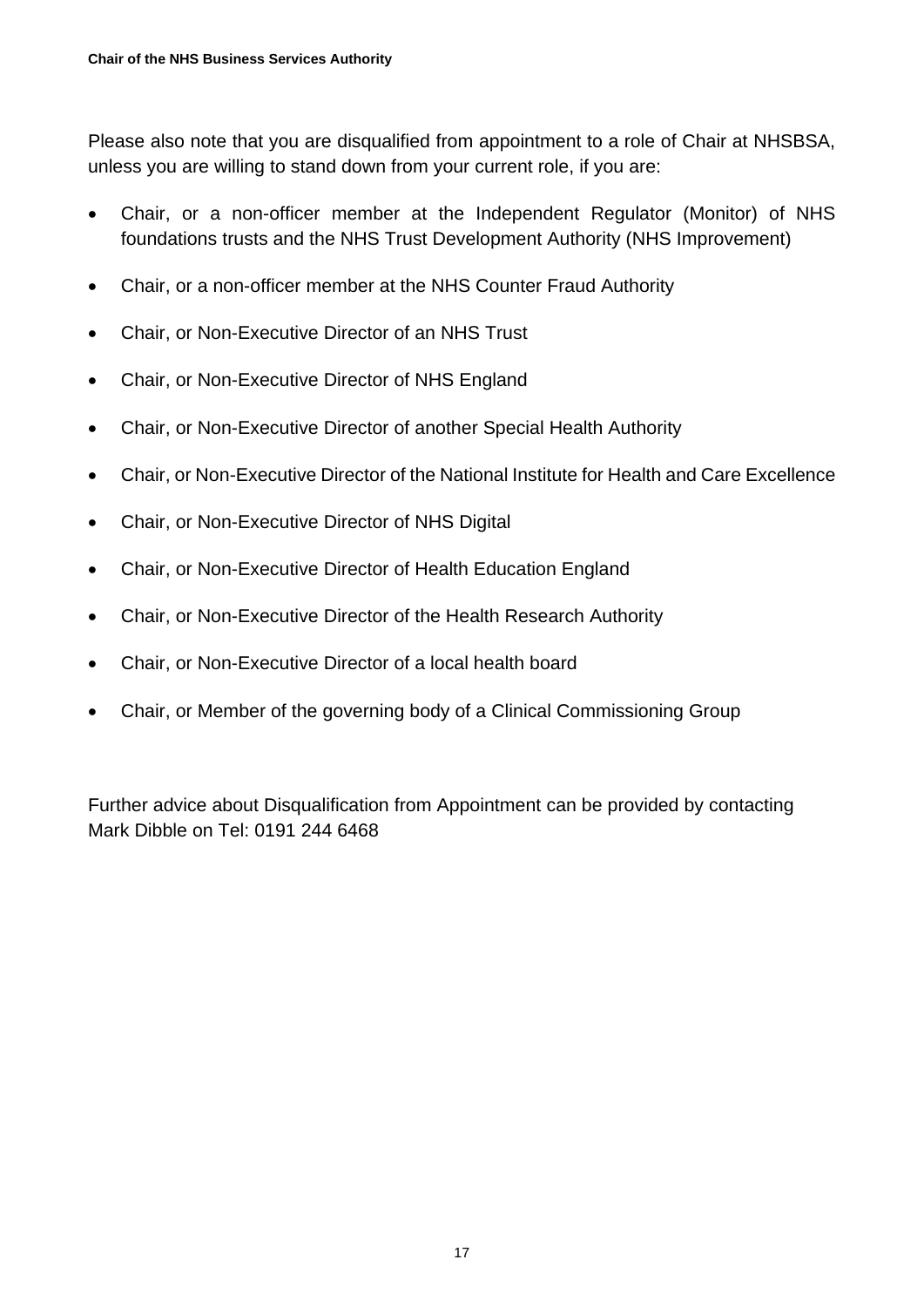Please also note that you are disqualified from appointment to a role of Chair at NHSBSA, unless you are willing to stand down from your current role, if you are:

- Chair, or a non-officer member at the Independent Regulator (Monitor) of NHS foundations trusts and the NHS Trust Development Authority (NHS Improvement)
- Chair, or a non-officer member at the NHS Counter Fraud Authority
- Chair, or Non-Executive Director of an NHS Trust
- Chair, or Non-Executive Director of NHS England
- Chair, or Non-Executive Director of another Special Health Authority
- Chair, or Non-Executive Director of the National Institute for Health and Care Excellence
- Chair, or Non-Executive Director of NHS Digital
- Chair, or Non-Executive Director of Health Education England
- Chair, or Non-Executive Director of the Health Research Authority
- Chair, or Non-Executive Director of a local health board
- Chair, or Member of the governing body of a Clinical Commissioning Group

Further advice about Disqualification from Appointment can be provided by contacting Mark Dibble on Tel: 0191 244 6468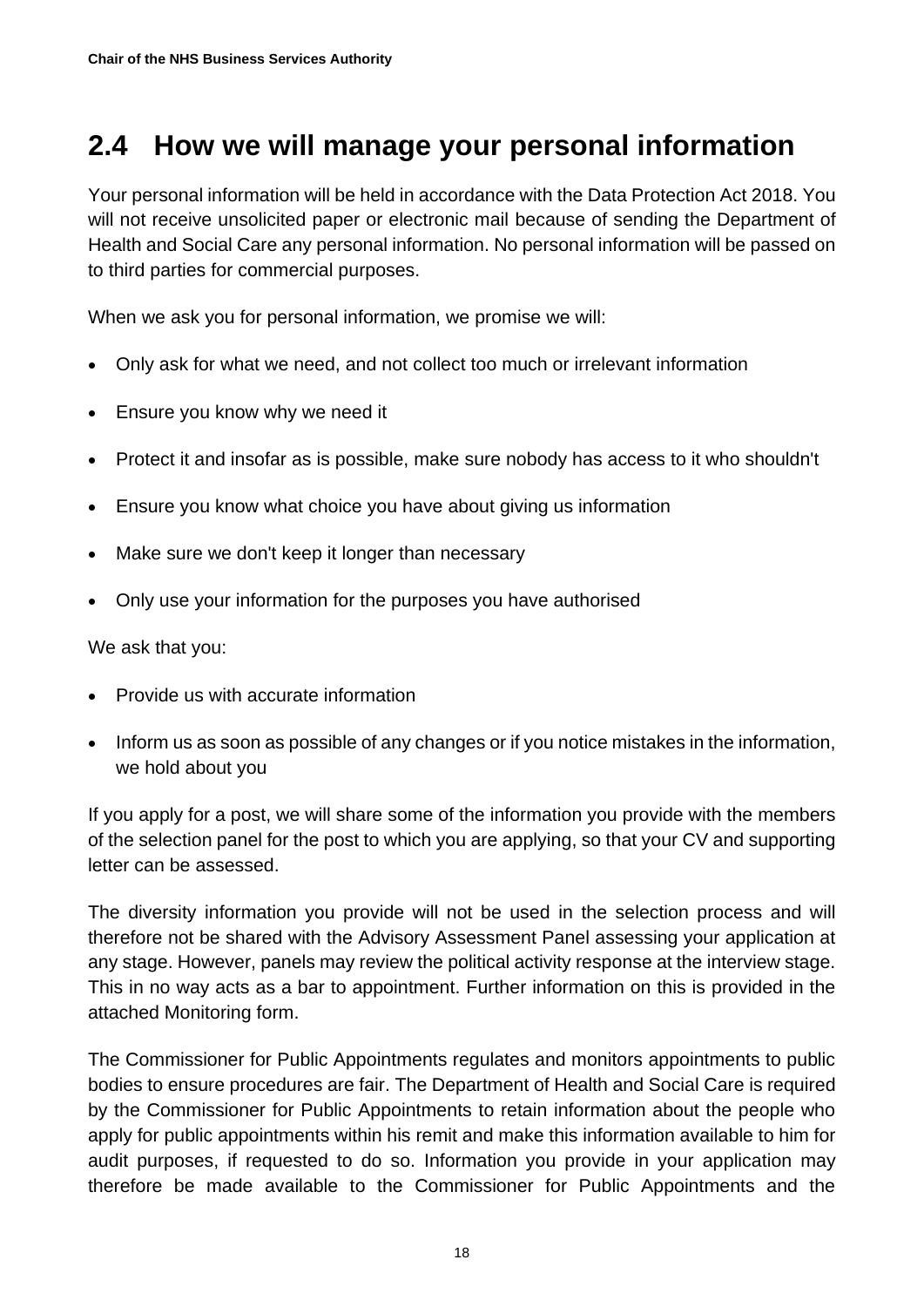## <span id="page-17-0"></span>**2.4 How we will manage your personal information**

Your personal information will be held in accordance with the Data Protection Act 2018. You will not receive unsolicited paper or electronic mail because of sending the Department of Health and Social Care any personal information. No personal information will be passed on to third parties for commercial purposes.

When we ask you for personal information, we promise we will:

- Only ask for what we need, and not collect too much or irrelevant information
- Ensure you know why we need it
- Protect it and insofar as is possible, make sure nobody has access to it who shouldn't
- Ensure you know what choice you have about giving us information
- Make sure we don't keep it longer than necessary
- Only use your information for the purposes you have authorised

We ask that you:

- Provide us with accurate information
- Inform us as soon as possible of any changes or if you notice mistakes in the information, we hold about you

If you apply for a post, we will share some of the information you provide with the members of the selection panel for the post to which you are applying, so that your CV and supporting letter can be assessed.

The diversity information you provide will not be used in the selection process and will therefore not be shared with the Advisory Assessment Panel assessing your application at any stage. However, panels may review the political activity response at the interview stage. This in no way acts as a bar to appointment. Further information on this is provided in the attached Monitoring form.

The Commissioner for Public Appointments regulates and monitors appointments to public bodies to ensure procedures are fair. The Department of Health and Social Care is required by the Commissioner for Public Appointments to retain information about the people who apply for public appointments within his remit and make this information available to him for audit purposes, if requested to do so. Information you provide in your application may therefore be made available to the Commissioner for Public Appointments and the